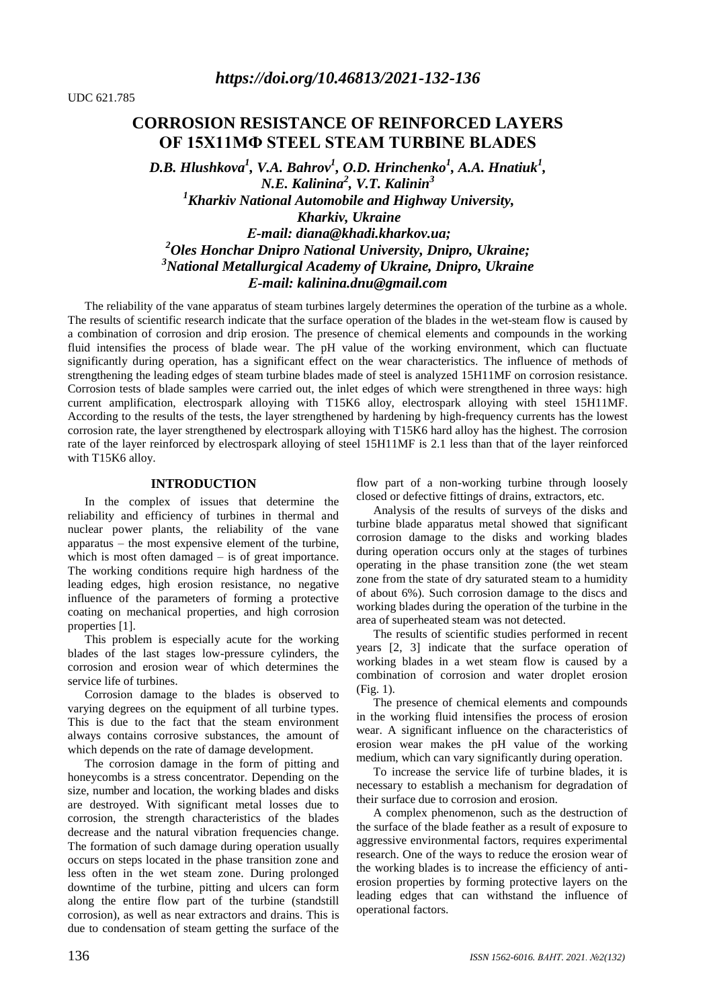# **CORROSION RESISTANCE OF REINFORCED LAYERS OF 15Х11МФ STEEL STEAM TURBINE BLADES**

*D.B. Hlushkova<sup>1</sup> , V.A. Bahrov<sup>1</sup> , O.D. Hrinchenko<sup>1</sup> , A.A. Hnatiuk<sup>1</sup> , N.E. Kalinina<sup>2</sup> , V.T. Kalinin<sup>3</sup> <sup>1</sup>Kharkiv National Automobile and Highway University, Kharkiv, Ukraine Е-mail: [diana@khadi.kharkov.ua;](mailto:diana@khadi.kharkov.ua) <sup>2</sup>Oles Honchar Dnipro National University, Dnipro, Ukraine; <sup>3</sup>National Metallurgical Academy of Ukraine, Dnipro, Ukraine Е-mail: kalinina.dnu@gmail.com*

The reliability of the vane apparatus of steam turbines largely determines the operation of the turbine as a whole. The results of scientific research indicate that the surface operation of the blades in the wet-steam flow is caused by a combination of corrosion and drip erosion. The presence of chemical elements and compounds in the working fluid intensifies the process of blade wear. The pH value of the working environment, which can fluctuate significantly during operation, has a significant effect on the wear characteristics. The influence of methods of strengthening the leading edges of steam turbine blades made of steel is analyzed 15H11MF on corrosion resistance. Corrosion tests of blade samples were carried out, the inlet edges of which were strengthened in three ways: high current amplification, electrospark alloying with T15K6 alloy, electrospark alloying with steel 15H11MF. According to the results of the tests, the layer strengthened by hardening by high-frequency currents has the lowest corrosion rate, the layer strengthened by electrospark alloying with T15K6 hard alloy has the highest. The corrosion rate of the layer reinforced by electrospark alloying of steel 15H11MF is 2.1 less than that of the layer reinforced with T15K6 alloy.

### **INTRODUCTION**

In the complex of issues that determine the reliability and efficiency of turbines in thermal and nuclear power plants, the reliability of the vane apparatus – the most expensive element of the turbine, which is most often damaged – is of great importance. The working conditions require high hardness of the leading edges, high erosion resistance, no negative influence of the parameters of forming a protective coating on mechanical properties, and high corrosion properties [1].

This problem is especially acute for the working blades of the last stages low-pressure cylinders, the corrosion and erosion wear of which determines the service life of turbines.

Corrosion damage to the blades is observed to varying degrees on the equipment of all turbine types. This is due to the fact that the steam environment always contains corrosive substances, the amount of which depends on the rate of damage development.

The corrosion damage in the form of pitting and honeycombs is a stress concentrator. Depending on the size, number and location, the working blades and disks are destroyed. With significant metal losses due to corrosion, the strength characteristics of the blades decrease and the natural vibration frequencies change. The formation of such damage during operation usually occurs on steps located in the phase transition zone and less often in the wet steam zone. During prolonged downtime of the turbine, pitting and ulcers can form along the entire flow part of the turbine (standstill corrosion), as well as near extractors and drains. This is due to condensation of steam getting the surface of the

flow part of a non-working turbine through loosely closed or defective fittings of drains, extractors, etc.

Analysis of the results of surveys of the disks and turbine blade apparatus metal showed that significant corrosion damage to the disks and working blades during operation occurs only at the stages of turbines operating in the phase transition zone (the wet steam zone from the state of dry saturated steam to a humidity of about 6%). Such corrosion damage to the discs and working blades during the operation of the turbine in the area of superheated steam was not detected.

The results of scientific studies performed in recent years [2, 3] indicate that the surface operation of working blades in a wet steam flow is caused by a combination of corrosion and water droplet erosion (Fig. 1).

The presence of chemical elements and compounds in the working fluid intensifies the process of erosion wear. A significant influence on the characteristics of erosion wear makes the pH value of the working medium, which can vary significantly during operation.

To increase the service life of turbine blades, it is necessary to establish a mechanism for degradation of their surface due to corrosion and erosion.

A complex phenomenon, such as the destruction of the surface of the blade feather as a result of exposure to aggressive environmental factors, requires experimental research. One of the ways to reduce the erosion wear of the working blades is to increase the efficiency of antierosion properties by forming protective layers on the leading edges that can withstand the influence of operational factors.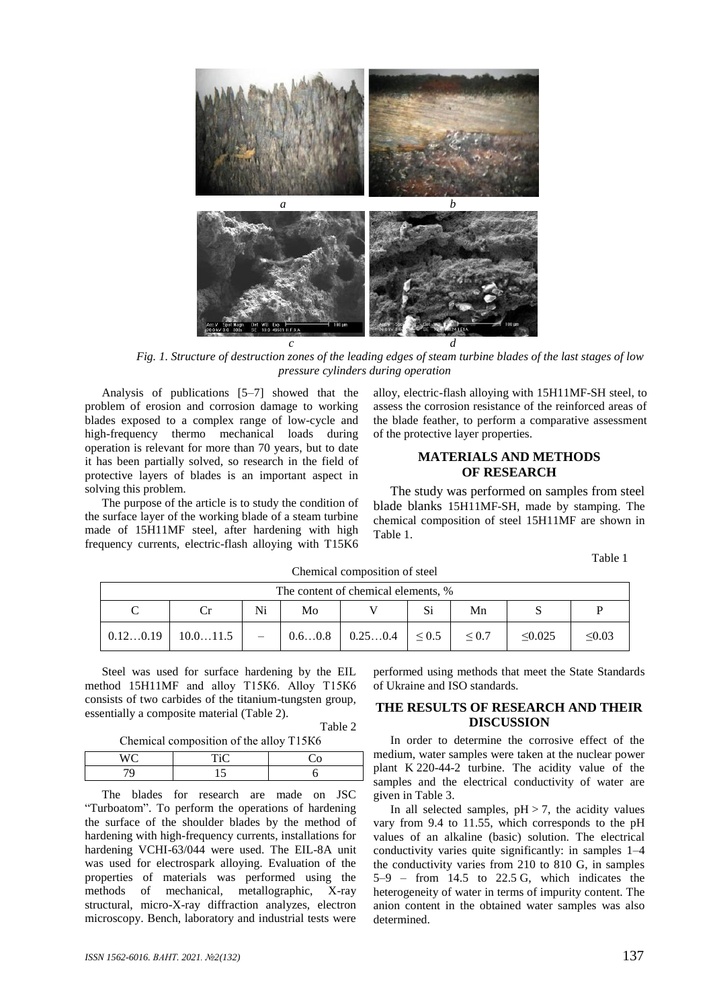

*Fig. 1. Structure of destruction zones of the leading edges of steam turbine blades of the last stages of low pressure cylinders during operation*

Analysis of publications [5–7] showed that the problem of erosion and corrosion damage to working blades exposed to a complex range of low-cycle and high-frequency thermo mechanical loads during operation is relevant for more than 70 years, but to date it has been partially solved, so research in the field of protective layers of blades is an important aspect in solving this problem.

The purpose of the article is to study the condition of the surface layer of the working blade of a steam turbine made of 15H11MF steel, after hardening with high frequency currents, electric-flash alloying with T15K6

alloy, electric-flash alloying with 15H11MF-SH steel, to assess the corrosion resistance of the reinforced areas of the blade feather, to perform a comparative assessment of the protective layer properties.

### **MATERIALS AND METHODS OF RESEARCH**

The study was performed on samples from steel blade blanks 15H11MF-SH, made by stamping. The chemical composition of steel 15H11MF are shown in Table 1.

Table 1

| The content of chemical elements, % |          |    |        |         |             |             |              |             |
|-------------------------------------|----------|----|--------|---------|-------------|-------------|--------------|-------------|
|                                     |          | Ni | Mo     |         | Si          | Mn          |              |             |
| 0.120.19                            | 10.011.5 |    | 0.60.8 | 0.250.4 | $1 \le 0.5$ | ${}^{<}0.7$ | $\leq 0.025$ | $\leq 0.03$ |

Chemical composition of steel

Steel was used for surface hardening by the EIL method 15H11MF and alloy Т15К6. Alloy Т15К6 consists of two carbides of the titanium-tungsten group, essentially a composite material (Table 2).

Table 2

|         | Chemical composition of the alloy T15K6 |  |  |  |  |
|---------|-----------------------------------------|--|--|--|--|
| $W\cap$ | TiC                                     |  |  |  |  |

The blades for research are made on JSC "Turboatom". To perform the operations of hardening the surface of the shoulder blades by the method of hardening with high-frequency currents, installations for hardening VCHI-63/044 were used. The EIL-8A unit was used for electrospark alloying. Evaluation of the properties of materials was performed using the methods of mechanical, metallographic, X-ray structural, micro-X-ray diffraction analyzes, electron microscopy. Bench, laboratory and industrial tests were

performed using methods that meet the State Standards of Ukraine and ISO standards.

### **THE RESULTS OF RESEARCH AND THEIR DISCUSSION**

In order to determine the corrosive effect of the medium, water samples were taken at the nuclear power plant K 220-44-2 turbine. The acidity value of the samples and the electrical conductivity of water are given in Table 3.

In all selected samples,  $pH > 7$ , the acidity values vary from 9.4 to 11.55, which corresponds to the pH values of an alkaline (basic) solution. The electrical conductivity varies quite significantly: in samples 1–4 the conductivity varies from 210 to 810 G, in samples 5–9 – from 14.5 to 22.5 G, which indicates the heterogeneity of water in terms of impurity content. The anion content in the obtained water samples was also determined.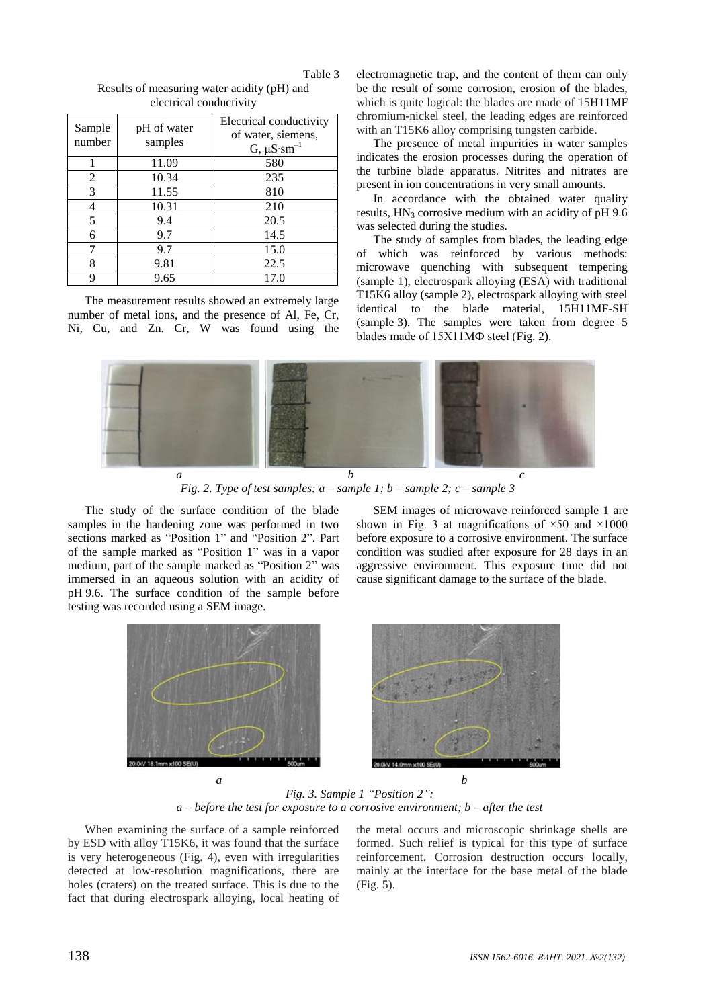| Sample<br>number | pH of water<br>samples | Electrical conductivity<br>of water, siemens,<br>$G, \mu S \cdot sm^{-1}$ |  |  |  |
|------------------|------------------------|---------------------------------------------------------------------------|--|--|--|
|                  | 11.09                  | 580                                                                       |  |  |  |
| 2                | 10.34                  | 235                                                                       |  |  |  |
| 3                | 11.55                  | 810                                                                       |  |  |  |
|                  | 10.31                  | 210                                                                       |  |  |  |
| 5                | 9.4                    | 20.5                                                                      |  |  |  |
| 6                | 9.7                    | 14.5                                                                      |  |  |  |
|                  | 9.7                    | 15.0                                                                      |  |  |  |
| 8                | 9.81                   | 22.5                                                                      |  |  |  |
| Q                | 9.65                   | 17.0                                                                      |  |  |  |

Table 3 Results of measuring water acidity (pH) and electrical conductivity

The measurement results showed an extremely large number of metal ions, and the presence of Al, Fe, Cr, Ni, Cu, and Zn. Cr, W was found using the electromagnetic trap, and the content of them can only be the result of some corrosion, erosion of the blades, which is quite logical: the blades are made of 15H11MF chromium-nickel steel, the leading edges are reinforced with an T15K6 alloy comprising tungsten carbide.

The presence of metal impurities in water samples indicates the erosion processes during the operation of the turbine blade apparatus. Nitrites and nitrates are present in ion concentrations in very small amounts.

In accordance with the obtained water quality results,  $HN_3$  corrosive medium with an acidity of pH 9.6 was selected during the studies.

The study of samples from blades, the leading edge of which was reinforced by various methods: microwave quenching with subsequent tempering (sample 1), electrospark alloying (ESA) with traditional T15K6 alloy (sample 2), electrospark alloying with steel identical to the blade material, 15H11MF-SH (sample 3). The samples were taken from degree 5 blades made of 15Х11МФ steel (Fig. 2).



*Fig. 2. Type of test samples:*  $a$  *– <i>sample 1; b* – *sample 2; c* – *sample 3* 

The study of the surface condition of the blade samples in the hardening zone was performed in two sections marked as "Position 1" and "Position 2". Part of the sample marked as "Position 1" was in a vapor medium, part of the sample marked as "Position 2" was immersed in an aqueous solution with an acidity of pH 9.6. The surface condition of the sample before testing was recorded using a SEM image.

SEM images of microwave reinforced sample 1 are shown in Fig. 3 at magnifications of  $\times 50$  and  $\times 1000$ before exposure to a corrosive environment. The surface condition was studied after exposure for 28 days in an aggressive environment. This exposure time did not cause significant damage to the surface of the blade.



*Fig. 3. Sample 1 "Position 2": a – before the test for exposure to a corrosive environment; b – after the test*

When examining the surface of a sample reinforced by ESD with alloy T15K6, it was found that the surface is very heterogeneous (Fig. 4), even with irregularities detected at low-resolution magnifications, there are holes (craters) on the treated surface. This is due to the fact that during electrospark alloying, local heating of the metal occurs and microscopic shrinkage shells are formed. Such relief is typical for this type of surface reinforcement. Corrosion destruction occurs locally, mainly at the interface for the base metal of the blade (Fig. 5).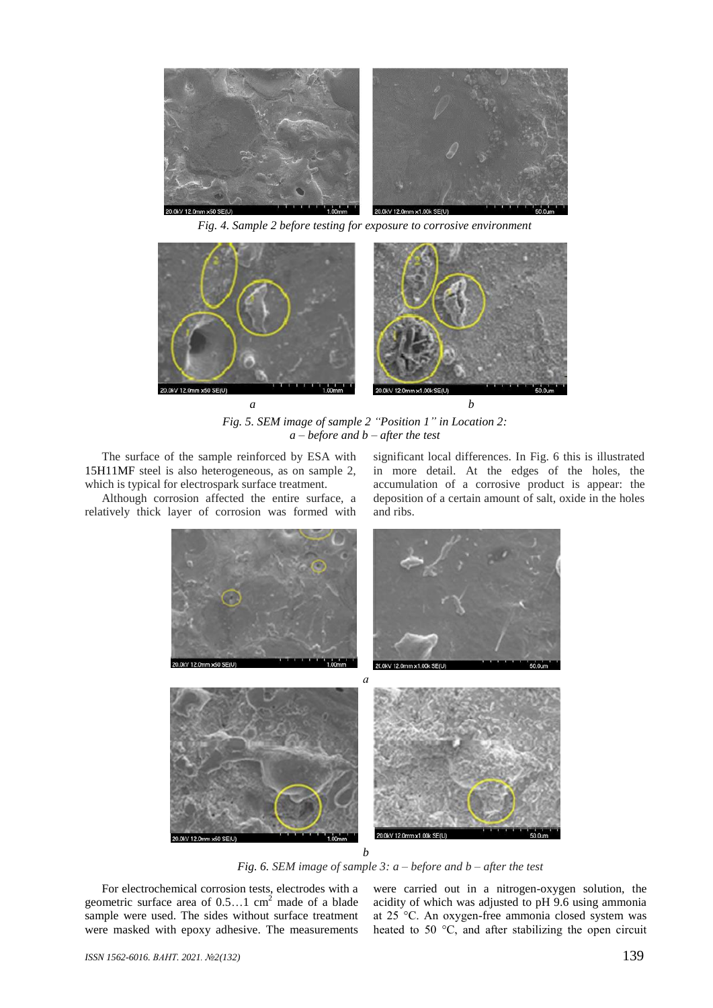

*Fig. 4. Sample 2 before testing for exposure to corrosive environment*



*Fig. 5. SEM image of sample 2 "Position 1" in Location 2: a – before and b – after the test*

The surface of the sample reinforced by ESA with 15H11MF steel is also heterogeneous, as on sample 2, which is typical for electrospark surface treatment.

Although corrosion affected the entire surface, a relatively thick layer of corrosion was formed with significant local differences. In Fig. 6 this is illustrated in more detail. At the edges of the holes, the accumulation of a corrosive product is appear: the deposition of a certain amount of salt, oxide in the holes and ribs.



*Fig. 6. SEM image of sample 3: a – before and b – after the test*

For electrochemical corrosion tests, electrodes with a geometric surface area of  $0.5...1$  cm<sup>2</sup> made of a blade sample were used. The sides without surface treatment were masked with epoxy adhesive. The measurements

were carried out in a nitrogen-oxygen solution, the acidity of which was adjusted to pH 9.6 using ammonia at 25 °C. An oxygen-free ammonia closed system was heated to 50 °C, and after stabilizing the open circuit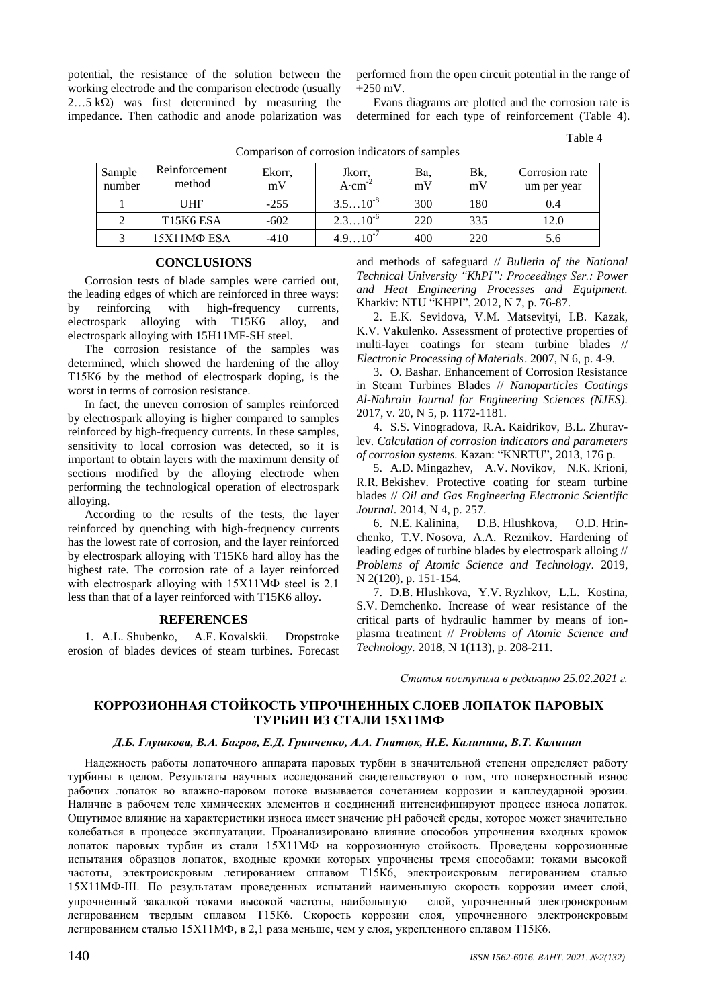potential, the resistance of the solution between the working electrode and the comparison electrode (usually 2...5 kΩ) was first determined by measuring the impedance. Then cathodic and anode polarization was

performed from the open circuit potential in the range of  $\pm$ 250 mV

Evans diagrams are plotted and the corrosion rate is determined for each type of reinforcement (Table 4).

Table 4

Comparison of corrosion indicators of samples

| Sample<br>number | Reinforcement<br>method | Ekorr,<br>mV | Jkorr,<br>$A$ cm | Ba.<br>mV | Bk,<br>mV | Corrosion rate<br>um per year |
|------------------|-------------------------|--------------|------------------|-----------|-----------|-------------------------------|
|                  | UHF                     | $-255$       | $3.510^{8}$      | 300       | 180       | 0.4                           |
|                  | T15K6 ESA               | $-602$       | $2.310^{6}$      | 220       | 335       | 12.0                          |
|                  | 15X11MΦ ESA             | $-410$       | $10^{-4}$<br>4 Q | 400       | 220       | 5.6                           |

#### **CONCLUSIONS**

Corrosion tests of blade samples were carried out, the leading edges of which are reinforced in three ways: by reinforcing with high-frequency currents, electrospark alloying with T15K6 alloy, and electrospark alloying with 15H11MF-SH steel.

The corrosion resistance of the samples was determined, which showed the hardening of the alloy Т15К6 by the method of electrospark doping, is the worst in terms of corrosion resistance.

In fact, the uneven corrosion of samples reinforced by electrospark alloying is higher compared to samples reinforced by high-frequency currents. In these samples, sensitivity to local corrosion was detected, so it is important to obtain layers with the maximum density of sections modified by the alloying electrode when performing the technological operation of electrospark alloying.

According to the results of the tests, the layer reinforced by quenching with high-frequency currents has the lowest rate of corrosion, and the layer reinforced by electrospark alloying with T15K6 hard alloy has the highest rate. The corrosion rate of a layer reinforced with electrospark alloying with 15Х11МФ steel is 2.1 less than that of a layer reinforced with T15K6 alloy.

#### **REFERENCES**

1. A.L. Shubenko, A.E. Kovalskii. Dropstroke erosion of blades devices of steam turbines. Forecast and methods of safeguard // *Bulletin of the National Technical University "KhPI": Proceedings Ser.: Power and Heat Engineering Processes and Equipment.*  Kharkiv: NTU "KHPI", 2012, N 7, p. 76-87.

2. E.K. Sevidova, V.M. Matsevityi, I.B. Kazak, K.V. Vakulenko. Assessment of protective properties of multi-layer coatings for steam turbine blades // *Electronic Processing of Materials*. 2007, N 6, p. 4-9.

3. O. Bashar. Enhancement of Corrosion Resistance in Steam Turbines Blades // *Nanoparticles Coatings Al-Nahrain Journal for Engineering Sciences (NJES).* 2017, v. 20, N 5, p. 1172-1181.

4. S.S. Vinogradova, R.A. Kaidrikov, B.L. Zhuravlev. *Calculation of corrosion indicators and parameters of corrosion systems.* Kazan: "KNRTU", 2013, 176 p.

5. A.D. Mingazhev, A.V. Novikov, N.K. Krioni, R.R. Bekishev. Protective coating for steam turbine blades // *Oil and Gas Engineering Electronic Scientific Journal*. 2014, N 4, p. 257.

6. N.E. Kalinina, D.B. Hlushkova, O.D. Hrinchenko, T.V. Nosova, A.A. Reznikov. Hardening of leading edges of turbine blades by electrospark alloing // *Problems of Atomic Science and Technology*. 2019, N 2(120), p. 151-154.

7. D.B. Hlushkova, Y.V. Ryzhkov, L.L. Kostina, S.V. Demchenko. Increase of wear resistance of the critical parts of hydraulic hammer by means of ionplasma treatment // *Problems of Atomic Science and Technology.* 2018, N 1(113), p. 208-211.

*Статья поступила в редакцию 25.02.2021 г.*

# **КОРРОЗИОННАЯ СТОЙКОСТЬ УПРОЧНЕННЫХ СЛОЕВ ЛОПАТОК ПАРОВЫХ ТУРБИН ИЗ СТАЛИ 15Х11МФ**

#### *Д.Б. Глушкова, В.А. Багров, Е.Д. Гринченко, А.А. Гнатюк, Н.Е. Калинина, В.Т. Калинин*

Надежность работы лопаточного аппарата паровых турбин в значительной степени определяет работу турбины в целом. Результаты научных исследований свидетельствуют о том, что поверхностный износ рабочих лопаток во влажно-паровом потоке вызывается сочетанием коррозии и каплеударной эрозии. Наличие в рабочем теле химических элементов и соединений интенсифицируют процесс износа лопаток. Ощутимое влияние на характеристики износа имеет значение рН рабочей среды, которое может значительно колебаться в процессе эксплуатации. Проанализировано влияние способов упрочнения входных кромок лопаток паровых турбин из стали 15Х11МФ на коррозионную стойкость. Проведены коррозионные испытания образцов лопаток, входные кромки которых упрочнены тремя способами: токами высокой частоты, электроискровым легированием сплавом Т15К6, электроискровым легированием сталью 15Х11МФ-Ш. По результатам проведенных испытаний наименьшую скорость коррозии имеет слой, упрочненный закалкой токами высокой частоты, наибольшую слой, упрочненный электроискровым легированием твердым сплавом Т15К6. Скорость коррозии слоя, упрочненного электроискровым легированием сталью 15Х11МФ, в 2,1 раза меньше, чем у слоя, укрепленного сплавом Т15К6.